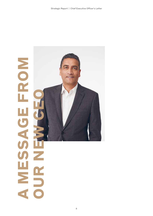## **A MESSAGE FROM**  FRON **OUR NEW CEO HOTA** MENT